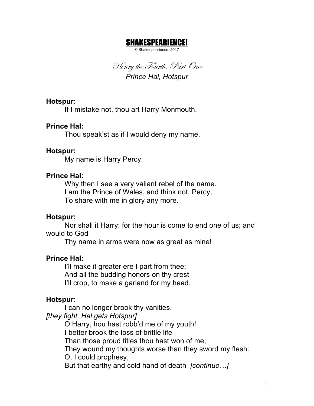# SHAKESPEARIENCE!

© Shakespearience! 2017

Henry the Fourth, Part One *Prince Hal, Hotspur*

#### **Hotspur:**

If I mistake not, thou art Harry Monmouth.

## **Prince Hal:**

Thou speak'st as if I would deny my name.

### **Hotspur:**

My name is Harry Percy.

## **Prince Hal:**

Why then I see a very valiant rebel of the name. I am the Prince of Wales; and think not, Percy, To share with me in glory any more.

### **Hotspur:**

Nor shall it Harry; for the hour is come to end one of us; and would to God

Thy name in arms were now as great as mine!

### **Prince Hal:**

I'll make it greater ere I part from thee; And all the budding honors on thy crest I'll crop, to make a garland for my head.

# **Hotspur:**

I can no longer brook thy vanities.

*[they fight, Hal gets Hotspur]*

O Harry, hou hast robb'd me of my youth!

I better brook the loss of brittle life

Than those proud titles thou hast won of me;

They wound my thoughts worse than they sword my flesh:

O, I could prophesy,

But that earthy and cold hand of death *[continue…]*